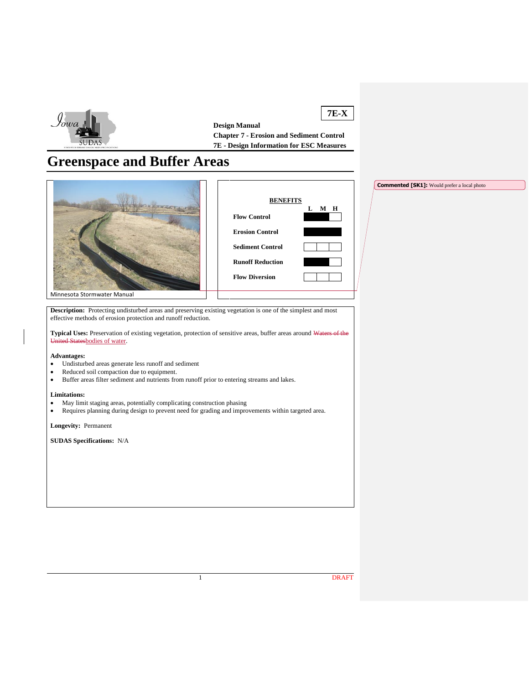

**7E-X Design Manual Chapter 7 - Erosion and Sediment Control 7E - Design Information for ESC Measures**

# **Greenspace and Buffer Areas**





**Commented [SK1]:** Would prefer a local photo

Minnesota Stormwater Manual

**Description:** Protecting undisturbed areas and preserving existing vegetation is one of the simplest and most effective methods of erosion protection and runoff reduction.

**Typical Uses:** Preservation of existing vegetation, protection of sensitive areas, buffer areas around Waters of the United Statesbodies of water.

#### **Advantages:**

- Undisturbed areas generate less runoff and sediment
- Reduced soil compaction due to equipment.
- Buffer areas filter sediment and nutrients from runoff prior to entering streams and lakes.

#### **Limitations:**

- May limit staging areas, potentially complicating construction phasing
- Requires planning during design to prevent need for grading and improvements within targeted area.

**Longevity:** Permanent

**SUDAS Specifications:** N/A